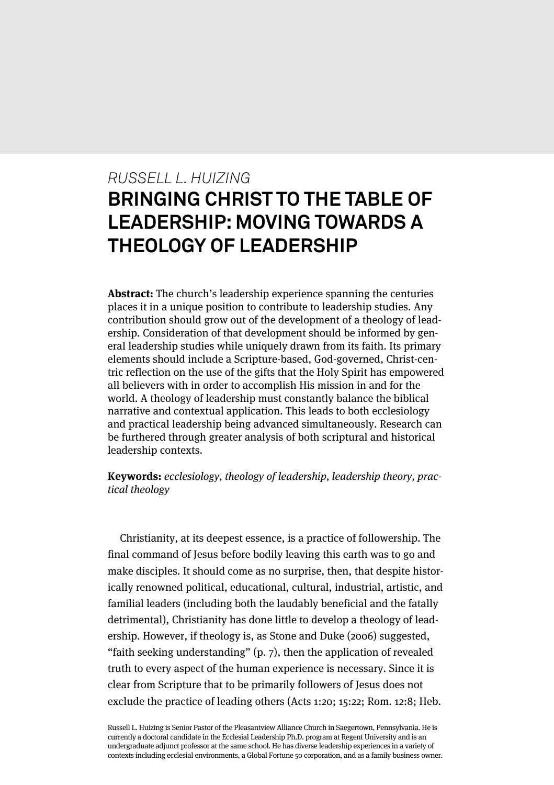# *RUSSELL L. HUIZING* **BRINGING CHRIST TO THE TABLE OF LEADERSHIP: MOVING TOWARDS A THEOLOGY OF LEADERSHIP**

**Abstract:** The church's leadership experience spanning the centuries places it in a unique position to contribute to leadership studies. Any contribution should grow out of the development of a theology of leadership. Consideration of that development should be informed by general leadership studies while uniquely drawn from its faith. Its primary elements should include a Scripture-based, God-governed, Christ-centric reflection on the use of the gifts that the Holy Spirit has empowered all believers with in order to accomplish His mission in and for the world. A theology of leadership must constantly balance the biblical narrative and contextual application. This leads to both ecclesiology and practical leadership being advanced simultaneously. Research can be furthered through greater analysis of both scriptural and historical leadership contexts.

**Keywords:** ecclesiology, theology of leadership, leadership theory, practical theology

Christianity, at its deepest essence, is a practice of followership. The final command of Jesus before bodily leaving this earth was to go and make disciples. It should come as no surprise, then, that despite historically renowned political, educational, cultural, industrial, artistic, and familial leaders (including both the laudably beneficial and the fatally detrimental), Christianity has done little to develop a theology of leadership. However, if theology is, as Stone and Duke (2006) suggested, "faith seeking understanding" (p. 7), then the application of revealed truth to every aspect of the human experience is necessary. Since it is clear from Scripture that to be primarily followers of Jesus does not exclude the practice of leading others (Acts 1:20; 15:22; Rom. 12:8; Heb.

Russell L. Huizing is Senior Pastor of the Pleasantview Alliance Church in Saegertown, Pennsylvania. He is currently a doctoral candidate in the Ecclesial Leadership Ph.D. program at Regent University and is an undergraduate adjunct professor at the same school. He has diverse leadership experiences in a variety of contexts including ecclesial environments, a Global Fortune 50 corporation, and as a family business owner.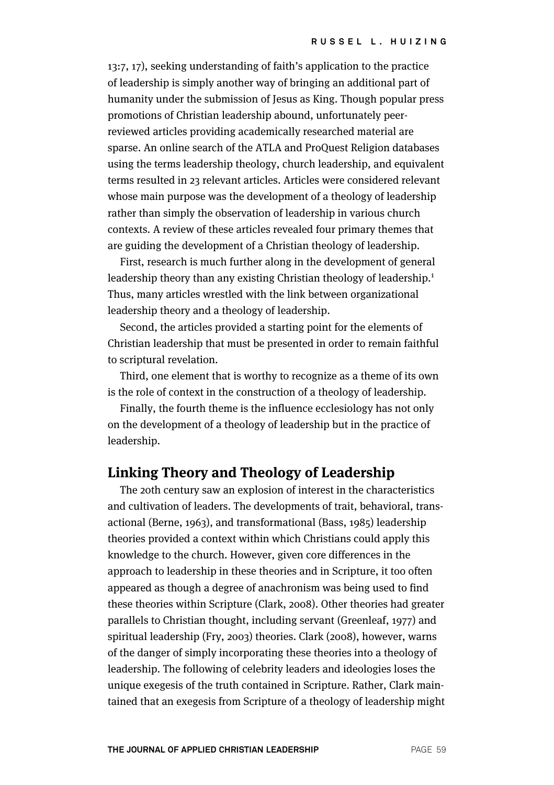13:7, 17), seeking understanding of faith's application to the practice of leadership is simply another way of bringing an additional part of humanity under the submission of Jesus as King. Though popular press promotions of Christian leadership abound, unfortunately peerreviewed articles providing academically researched material are sparse. An online search of the ATLA and ProQuest Religion databases using the terms leadership theology, church leadership, and equivalent terms resulted in 23 relevant articles. Articles were considered relevant whose main purpose was the development of a theology of leadership rather than simply the observation of leadership in various church contexts. A review of these articles revealed four primary themes that are guiding the development of a Christian theology of leadership.

First, research is much further along in the development of general leadership theory than any existing Christian theology of leadership.<sup>1</sup> Thus, many articles wrestled with the link between organizational leadership theory and a theology of leadership.

Second, the articles provided a starting point for the elements of Christian leadership that must be presented in order to remain faithful to scriptural revelation.

Third, one element that is worthy to recognize as a theme of its own is the role of context in the construction of a theology of leadership.

Finally, the fourth theme is the influence ecclesiology has not only on the development of a theology of leadership but in the practice of leadership.

# **Linking Theory and Theology of Leadership**

The 20th century saw an explosion of interest in the characteristics and cultivation of leaders. The developments of trait, behavioral, transactional (Berne, 1963), and transformational (Bass, 1985) leadership theories provided a context within which Christians could apply this knowledge to the church. However, given core differences in the approach to leadership in these theories and in Scripture, it too often appeared as though a degree of anachronism was being used to find these theories within Scripture (Clark, 2008). Other theories had greater parallels to Christian thought, including servant (Greenleaf, 1977) and spiritual leadership (Fry, 2003) theories. Clark (2008), however, warns of the danger of simply incorporating these theories into a theology of leadership. The following of celebrity leaders and ideologies loses the unique exegesis of the truth contained in Scripture. Rather, Clark maintained that an exegesis from Scripture of a theology of leadership might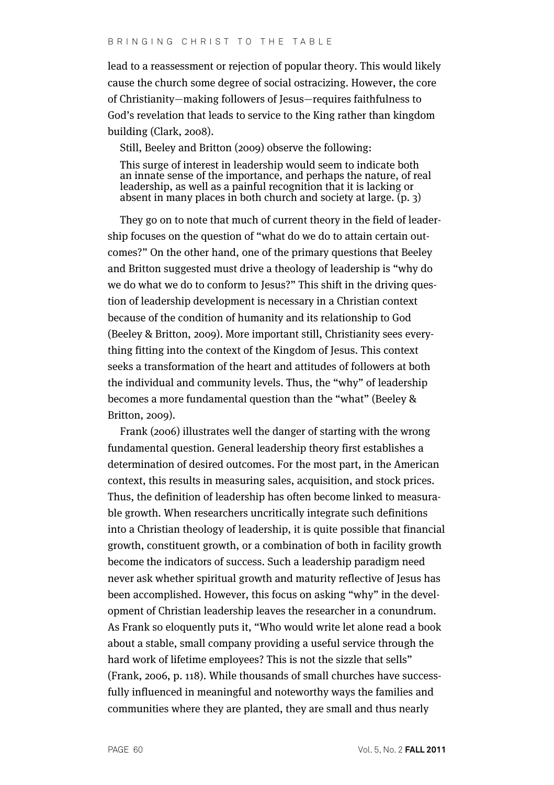lead to a reassessment or rejection of popular theory. This would likely cause the church some degree of social ostracizing. However, the core of Christianity—making followers of Jesus—requires faithfulness to God's revelation that leads to service to the King rather than kingdom building (Clark, 2008).

Still, Beeley and Britton (2009) observe the following:

This surge of interest in leadership would seem to indicate both an innate sense of the importance, and perhaps the nature, of real leadership, as well as a painful recognition that it is lacking or absent in many places in both church and society at large. (p. 3)

They go on to note that much of current theory in the field of leadership focuses on the question of "what do we do to attain certain outcomes?" On the other hand, one of the primary questions that Beeley and Britton suggested must drive a theology of leadership is "why do we do what we do to conform to Jesus?" This shift in the driving question of leadership development is necessary in a Christian context because of the condition of humanity and its relationship to God (Beeley & Britton, 2009). More important still, Christianity sees everything fitting into the context of the Kingdom of Jesus. This context seeks a transformation of the heart and attitudes of followers at both the individual and community levels. Thus, the "why" of leadership becomes a more fundamental question than the "what" (Beeley & Britton, 2009).

Frank (2006) illustrates well the danger of starting with the wrong fundamental question. General leadership theory first establishes a determination of desired outcomes. For the most part, in the American context, this results in measuring sales, acquisition, and stock prices. Thus, the definition of leadership has often become linked to measurable growth. When researchers uncritically integrate such definitions into a Christian theology of leadership, it is quite possible that financial growth, constituent growth, or a combination of both in facility growth become the indicators of success. Such a leadership paradigm need never ask whether spiritual growth and maturity reflective of Jesus has been accomplished. However, this focus on asking "why" in the development of Christian leadership leaves the researcher in a conundrum. As Frank so eloquently puts it, "Who would write let alone read a book about a stable, small company providing a useful service through the hard work of lifetime employees? This is not the sizzle that sells" (Frank, 2006, p. 118). While thousands of small churches have successfully influenced in meaningful and noteworthy ways the families and communities where they are planted, they are small and thus nearly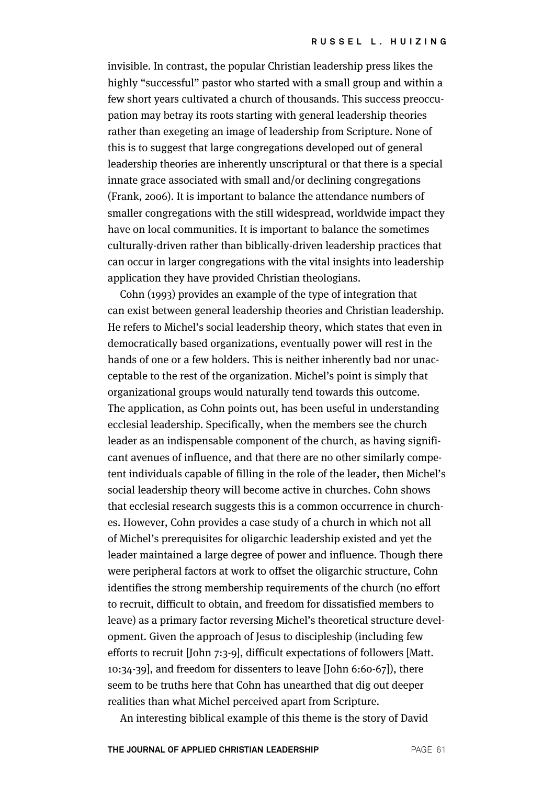invisible. In contrast, the popular Christian leadership press likes the highly "successful" pastor who started with a small group and within a few short years cultivated a church of thousands. This success preoccupation may betray its roots starting with general leadership theories rather than exegeting an image of leadership from Scripture. None of this is to suggest that large congregations developed out of general leadership theories are inherently unscriptural or that there is a special innate grace associated with small and/or declining congregations (Frank, 2006). It is important to balance the attendance numbers of smaller congregations with the still widespread, worldwide impact they have on local communities. It is important to balance the sometimes culturally-driven rather than biblically-driven leadership practices that can occur in larger congregations with the vital insights into leadership application they have provided Christian theologians.

Cohn (1993) provides an example of the type of integration that can exist between general leadership theories and Christian leadership. He refers to Michel's social leadership theory, which states that even in democratically based organizations, eventually power will rest in the hands of one or a few holders. This is neither inherently bad nor unacceptable to the rest of the organization. Michel's point is simply that organizational groups would naturally tend towards this outcome. The application, as Cohn points out, has been useful in understanding ecclesial leadership. Specifically, when the members see the church leader as an indispensable component of the church, as having significant avenues of influence, and that there are no other similarly competent individuals capable of filling in the role of the leader, then Michel's social leadership theory will become active in churches. Cohn shows that ecclesial research suggests this is a common occurrence in churches. However, Cohn provides a case study of a church in which not all of Michel's prerequisites for oligarchic leadership existed and yet the leader maintained a large degree of power and influence. Though there were peripheral factors at work to offset the oligarchic structure, Cohn identifies the strong membership requirements of the church (no effort to recruit, difficult to obtain, and freedom for dissatisfied members to leave) as a primary factor reversing Michel's theoretical structure development. Given the approach of Jesus to discipleship (including few efforts to recruit [John 7:3-9], difficult expectations of followers [Matt. 10:34-39], and freedom for dissenters to leave [John 6:60-67]), there seem to be truths here that Cohn has unearthed that dig out deeper realities than what Michel perceived apart from Scripture.

An interesting biblical example of this theme is the story of David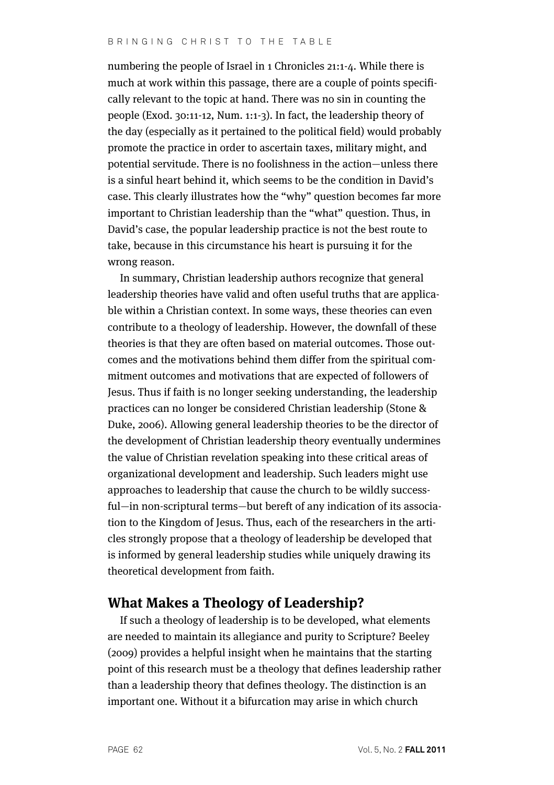### BRINGING CHRIST TO THE TABLE

numbering the people of Israel in 1 Chronicles 21:1-4. While there is much at work within this passage, there are a couple of points specifically relevant to the topic at hand. There was no sin in counting the people (Exod. 30:11-12, Num. 1:1-3). In fact, the leadership theory of the day (especially as it pertained to the political field) would probably promote the practice in order to ascertain taxes, military might, and potential servitude. There is no foolishness in the action—unless there is a sinful heart behind it, which seems to be the condition in David's case. This clearly illustrates how the "why" question becomes far more important to Christian leadership than the "what" question. Thus, in David's case, the popular leadership practice is not the best route to take, because in this circumstance his heart is pursuing it for the wrong reason.

In summary, Christian leadership authors recognize that general leadership theories have valid and often useful truths that are applicable within a Christian context. In some ways, these theories can even contribute to a theology of leadership. However, the downfall of these theories is that they are often based on material outcomes. Those outcomes and the motivations behind them differ from the spiritual commitment outcomes and motivations that are expected of followers of Jesus. Thus if faith is no longer seeking understanding, the leadership practices can no longer be considered Christian leadership (Stone & Duke, 2006). Allowing general leadership theories to be the director of the development of Christian leadership theory eventually undermines the value of Christian revelation speaking into these critical areas of organizational development and leadership. Such leaders might use approaches to leadership that cause the church to be wildly successful—in non-scriptural terms—but bereft of any indication of its association to the Kingdom of Jesus. Thus, each of the researchers in the articles strongly propose that a theology of leadership be developed that is informed by general leadership studies while uniquely drawing its theoretical development from faith.

# **What Makes a Theology of Leadership?**

If such a theology of leadership is to be developed, what elements are needed to maintain its allegiance and purity to Scripture? Beeley (2009) provides a helpful insight when he maintains that the starting point of this research must be a theology that defines leadership rather than a leadership theory that defines theology. The distinction is an important one. Without it a bifurcation may arise in which church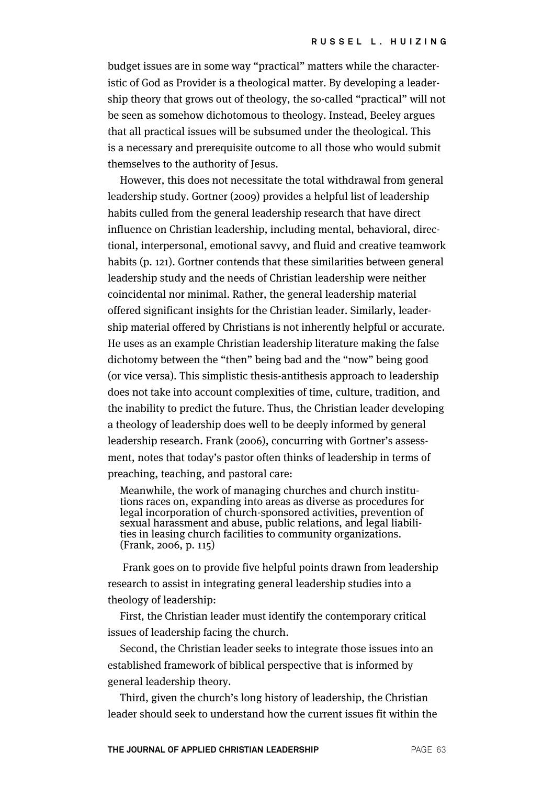budget issues are in some way "practical" matters while the characteristic of God as Provider is a theological matter. By developing a leadership theory that grows out of theology, the so-called "practical" will not be seen as somehow dichotomous to theology. Instead, Beeley argues that all practical issues will be subsumed under the theological. This is a necessary and prerequisite outcome to all those who would submit themselves to the authority of Jesus.

However, this does not necessitate the total withdrawal from general leadership study. Gortner (2009) provides a helpful list of leadership habits culled from the general leadership research that have direct influence on Christian leadership, including mental, behavioral, directional, interpersonal, emotional savvy, and fluid and creative teamwork habits (p. 121). Gortner contends that these similarities between general leadership study and the needs of Christian leadership were neither coincidental nor minimal. Rather, the general leadership material offered significant insights for the Christian leader. Similarly, leadership material offered by Christians is not inherently helpful or accurate. He uses as an example Christian leadership literature making the false dichotomy between the "then" being bad and the "now" being good (or vice versa). This simplistic thesis-antithesis approach to leadership does not take into account complexities of time, culture, tradition, and the inability to predict the future. Thus, the Christian leader developing a theology of leadership does well to be deeply informed by general leadership research. Frank (2006), concurring with Gortner's assessment, notes that today's pastor often thinks of leadership in terms of preaching, teaching, and pastoral care:

Meanwhile, the work of managing churches and church institutions races on, expanding into areas as diverse as procedures for legal incorporation of church-sponsored activities, prevention of sexual harassment and abuse, public relations, and legal liabilities in leasing church facilities to community organizations. (Frank, 2006, p. 115)

Frank goes on to provide five helpful points drawn from leadership research to assist in integrating general leadership studies into a theology of leadership:

First, the Christian leader must identify the contemporary critical issues of leadership facing the church.

Second, the Christian leader seeks to integrate those issues into an established framework of biblical perspective that is informed by general leadership theory.

Third, given the church's long history of leadership, the Christian leader should seek to understand how the current issues fit within the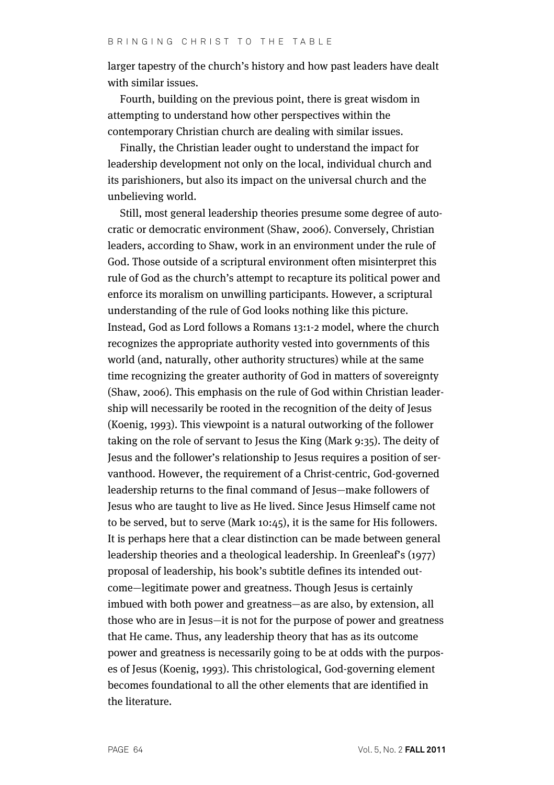larger tapestry of the church's history and how past leaders have dealt with similar issues.

Fourth, building on the previous point, there is great wisdom in attempting to understand how other perspectives within the contemporary Christian church are dealing with similar issues.

Finally, the Christian leader ought to understand the impact for leadership development not only on the local, individual church and its parishioners, but also its impact on the universal church and the unbelieving world.

Still, most general leadership theories presume some degree of autocratic or democratic environment (Shaw, 2006). Conversely, Christian leaders, according to Shaw, work in an environment under the rule of God. Those outside of a scriptural environment often misinterpret this rule of God as the church's attempt to recapture its political power and enforce its moralism on unwilling participants. However, a scriptural understanding of the rule of God looks nothing like this picture. Instead, God as Lord follows a Romans 13:1-2 model, where the church recognizes the appropriate authority vested into governments of this world (and, naturally, other authority structures) while at the same time recognizing the greater authority of God in matters of sovereignty (Shaw, 2006). This emphasis on the rule of God within Christian leadership will necessarily be rooted in the recognition of the deity of Jesus (Koenig, 1993). This viewpoint is a natural outworking of the follower taking on the role of servant to Jesus the King (Mark 9:35). The deity of Jesus and the follower's relationship to Jesus requires a position of servanthood. However, the requirement of a Christ-centric, God-governed leadership returns to the final command of Jesus—make followers of Jesus who are taught to live as He lived. Since Jesus Himself came not to be served, but to serve (Mark 10:45), it is the same for His followers. It is perhaps here that a clear distinction can be made between general leadership theories and a theological leadership. In Greenleaf's (1977) proposal of leadership, his book's subtitle defines its intended outcome—legitimate power and greatness. Though Jesus is certainly imbued with both power and greatness—as are also, by extension, all those who are in Jesus—it is not for the purpose of power and greatness that He came. Thus, any leadership theory that has as its outcome power and greatness is necessarily going to be at odds with the purposes of Jesus (Koenig, 1993). This christological, God-governing element becomes foundational to all the other elements that are identified in the literature.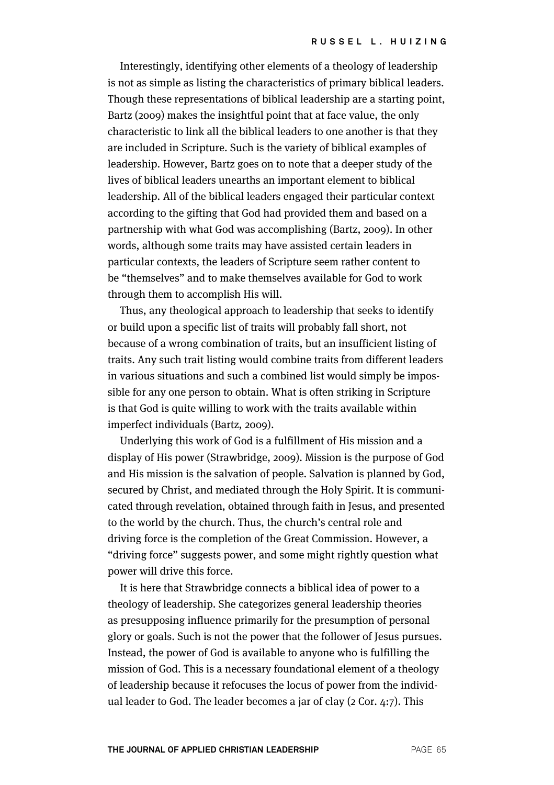Interestingly, identifying other elements of a theology of leadership is not as simple as listing the characteristics of primary biblical leaders. Though these representations of biblical leadership are a starting point, Bartz (2009) makes the insightful point that at face value, the only characteristic to link all the biblical leaders to one another is that they are included in Scripture. Such is the variety of biblical examples of leadership. However, Bartz goes on to note that a deeper study of the lives of biblical leaders unearths an important element to biblical leadership. All of the biblical leaders engaged their particular context according to the gifting that God had provided them and based on a partnership with what God was accomplishing (Bartz, 2009). In other words, although some traits may have assisted certain leaders in particular contexts, the leaders of Scripture seem rather content to be "themselves" and to make themselves available for God to work through them to accomplish His will.

Thus, any theological approach to leadership that seeks to identify or build upon a specific list of traits will probably fall short, not because of a wrong combination of traits, but an insufficient listing of traits. Any such trait listing would combine traits from different leaders in various situations and such a combined list would simply be impossible for any one person to obtain. What is often striking in Scripture is that God is quite willing to work with the traits available within imperfect individuals (Bartz, 2009).

Underlying this work of God is a fulfillment of His mission and a display of His power (Strawbridge, 2009). Mission is the purpose of God and His mission is the salvation of people. Salvation is planned by God, secured by Christ, and mediated through the Holy Spirit. It is communicated through revelation, obtained through faith in Jesus, and presented to the world by the church. Thus, the church's central role and driving force is the completion of the Great Commission. However, a "driving force" suggests power, and some might rightly question what power will drive this force.

It is here that Strawbridge connects a biblical idea of power to a theology of leadership. She categorizes general leadership theories as presupposing influence primarily for the presumption of personal glory or goals. Such is not the power that the follower of Jesus pursues. Instead, the power of God is available to anyone who is fulfilling the mission of God. This is a necessary foundational element of a theology of leadership because it refocuses the locus of power from the individual leader to God. The leader becomes a jar of clay (2 Cor. 4:7). This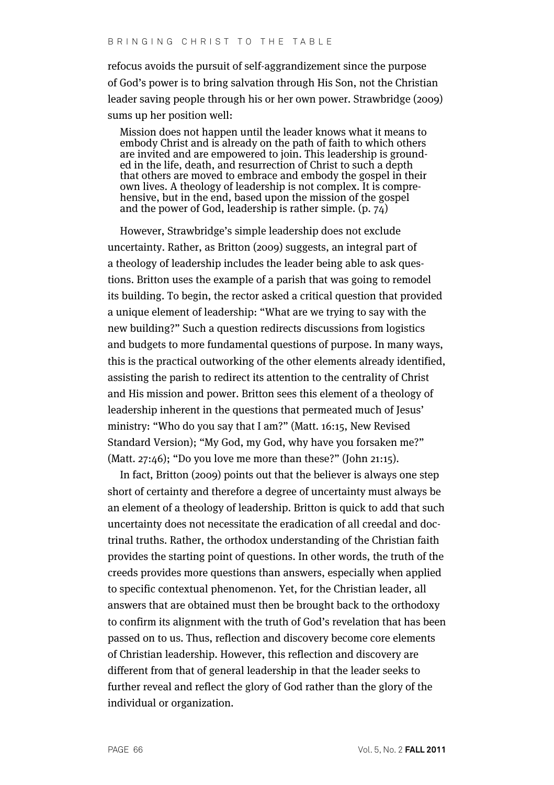refocus avoids the pursuit of self-aggrandizement since the purpose of God's power is to bring salvation through His Son, not the Christian leader saving people through his or her own power. Strawbridge (2009) sums up her position well:

Mission does not happen until the leader knows what it means to embody Christ and is already on the path of faith to which others are invited and are empowered to join. This leadership is grounded in the life, death, and resurrection of Christ to such a depth that others are moved to embrace and embody the gospel in their own lives. A theology of leadership is not complex. It is comprehensive, but in the end, based upon the mission of the gospel and the power of God, leadership is rather simple.  $(p, 74)$ 

However, Strawbridge's simple leadership does not exclude uncertainty. Rather, as Britton (2009) suggests, an integral part of a theology of leadership includes the leader being able to ask questions. Britton uses the example of a parish that was going to remodel its building. To begin, the rector asked a critical question that provided a unique element of leadership: "What are we trying to say with the new building?" Such a question redirects discussions from logistics and budgets to more fundamental questions of purpose. In many ways, this is the practical outworking of the other elements already identified, assisting the parish to redirect its attention to the centrality of Christ and His mission and power. Britton sees this element of a theology of leadership inherent in the questions that permeated much of Jesus' ministry: "Who do you say that I am?" (Matt. 16:15, New Revised Standard Version); "My God, my God, why have you forsaken me?" (Matt. 27:46); "Do you love me more than these?" (John 21:15).

In fact, Britton (2009) points out that the believer is always one step short of certainty and therefore a degree of uncertainty must always be an element of a theology of leadership. Britton is quick to add that such uncertainty does not necessitate the eradication of all creedal and doctrinal truths. Rather, the orthodox understanding of the Christian faith provides the starting point of questions. In other words, the truth of the creeds provides more questions than answers, especially when applied to specific contextual phenomenon. Yet, for the Christian leader, all answers that are obtained must then be brought back to the orthodoxy to confirm its alignment with the truth of God's revelation that has been passed on to us. Thus, reflection and discovery become core elements of Christian leadership. However, this reflection and discovery are different from that of general leadership in that the leader seeks to further reveal and reflect the glory of God rather than the glory of the individual or organization.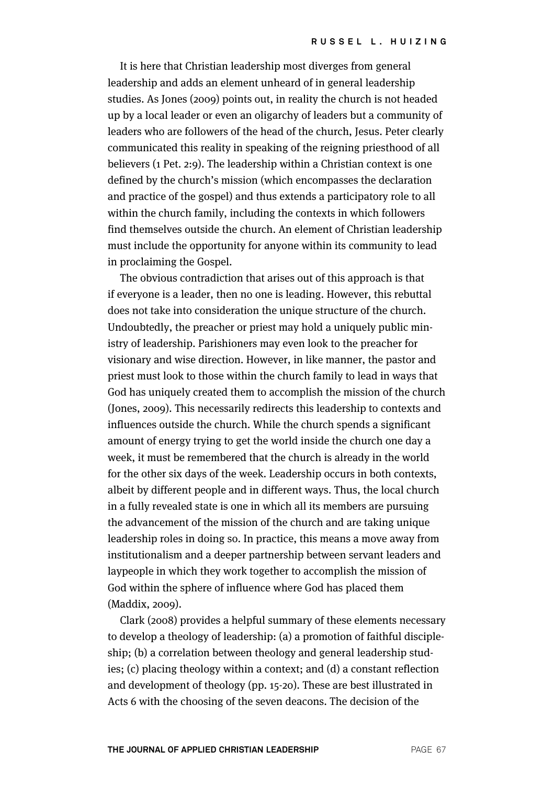It is here that Christian leadership most diverges from general leadership and adds an element unheard of in general leadership studies. As Jones (2009) points out, in reality the church is not headed up by a local leader or even an oligarchy of leaders but a community of leaders who are followers of the head of the church, Jesus. Peter clearly communicated this reality in speaking of the reigning priesthood of all believers (1 Pet. 2:9). The leadership within a Christian context is one defined by the church's mission (which encompasses the declaration and practice of the gospel) and thus extends a participatory role to all within the church family, including the contexts in which followers find themselves outside the church. An element of Christian leadership must include the opportunity for anyone within its community to lead in proclaiming the Gospel.

The obvious contradiction that arises out of this approach is that if everyone is a leader, then no one is leading. However, this rebuttal does not take into consideration the unique structure of the church. Undoubtedly, the preacher or priest may hold a uniquely public ministry of leadership. Parishioners may even look to the preacher for visionary and wise direction. However, in like manner, the pastor and priest must look to those within the church family to lead in ways that God has uniquely created them to accomplish the mission of the church (Jones, 2009). This necessarily redirects this leadership to contexts and influences outside the church. While the church spends a significant amount of energy trying to get the world inside the church one day a week, it must be remembered that the church is already in the world for the other six days of the week. Leadership occurs in both contexts, albeit by different people and in different ways. Thus, the local church in a fully revealed state is one in which all its members are pursuing the advancement of the mission of the church and are taking unique leadership roles in doing so. In practice, this means a move away from institutionalism and a deeper partnership between servant leaders and laypeople in which they work together to accomplish the mission of God within the sphere of influence where God has placed them (Maddix, 2009).

Clark (2008) provides a helpful summary of these elements necessary to develop a theology of leadership: (a) a promotion of faithful discipleship; (b) a correlation between theology and general leadership studies; (c) placing theology within a context; and (d) a constant reflection and development of theology (pp. 15-20). These are best illustrated in Acts 6 with the choosing of the seven deacons. The decision of the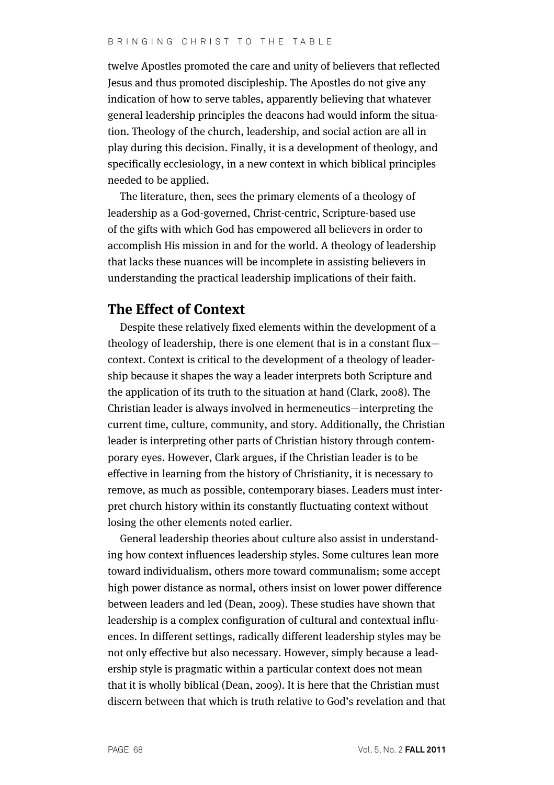twelve Apostles promoted the care and unity of believers that reflected Jesus and thus promoted discipleship. The Apostles do not give any indication of how to serve tables, apparently believing that whatever general leadership principles the deacons had would inform the situation. Theology of the church, leadership, and social action are all in play during this decision. Finally, it is a development of theology, and specifically ecclesiology, in a new context in which biblical principles needed to be applied.

The literature, then, sees the primary elements of a theology of leadership as a God-governed, Christ-centric, Scripture-based use of the gifts with which God has empowered all believers in order to accomplish His mission in and for the world. A theology of leadership that lacks these nuances will be incomplete in assisting believers in understanding the practical leadership implications of their faith.

# **The Effect of Context**

Despite these relatively fixed elements within the development of a theology of leadership, there is one element that is in a constant flux context. Context is critical to the development of a theology of leadership because it shapes the way a leader interprets both Scripture and the application of its truth to the situation at hand (Clark, 2008). The Christian leader is always involved in hermeneutics—interpreting the current time, culture, community, and story. Additionally, the Christian leader is interpreting other parts of Christian history through contemporary eyes. However, Clark argues, if the Christian leader is to be effective in learning from the history of Christianity, it is necessary to remove, as much as possible, contemporary biases. Leaders must interpret church history within its constantly fluctuating context without losing the other elements noted earlier.

General leadership theories about culture also assist in understanding how context influences leadership styles. Some cultures lean more toward individualism, others more toward communalism; some accept high power distance as normal, others insist on lower power difference between leaders and led (Dean, 2009). These studies have shown that leadership is a complex configuration of cultural and contextual influences. In different settings, radically different leadership styles may be not only effective but also necessary. However, simply because a leadership style is pragmatic within a particular context does not mean that it is wholly biblical (Dean, 2009). It is here that the Christian must discern between that which is truth relative to God's revelation and that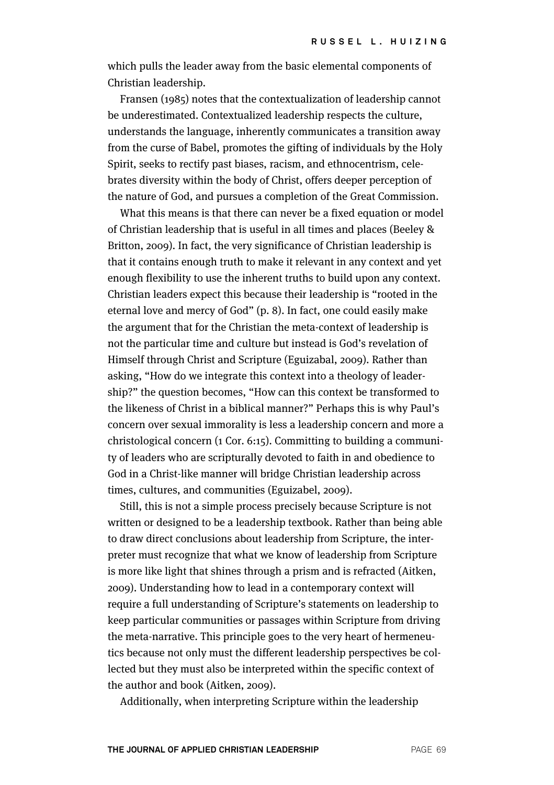which pulls the leader away from the basic elemental components of Christian leadership.

Fransen (1985) notes that the contextualization of leadership cannot be underestimated. Contextualized leadership respects the culture, understands the language, inherently communicates a transition away from the curse of Babel, promotes the gifting of individuals by the Holy Spirit, seeks to rectify past biases, racism, and ethnocentrism, celebrates diversity within the body of Christ, offers deeper perception of the nature of God, and pursues a completion of the Great Commission.

What this means is that there can never be a fixed equation or model of Christian leadership that is useful in all times and places (Beeley & Britton, 2009). In fact, the very significance of Christian leadership is that it contains enough truth to make it relevant in any context and yet enough flexibility to use the inherent truths to build upon any context. Christian leaders expect this because their leadership is "rooted in the eternal love and mercy of God" (p. 8). In fact, one could easily make the argument that for the Christian the meta-context of leadership is not the particular time and culture but instead is God's revelation of Himself through Christ and Scripture (Eguizabal, 2009). Rather than asking, "How do we integrate this context into a theology of leadership?" the question becomes, "How can this context be transformed to the likeness of Christ in a biblical manner?" Perhaps this is why Paul's concern over sexual immorality is less a leadership concern and more a christological concern (1 Cor. 6:15). Committing to building a community of leaders who are scripturally devoted to faith in and obedience to God in a Christ-like manner will bridge Christian leadership across times, cultures, and communities (Eguizabel, 2009).

Still, this is not a simple process precisely because Scripture is not written or designed to be a leadership textbook. Rather than being able to draw direct conclusions about leadership from Scripture, the interpreter must recognize that what we know of leadership from Scripture is more like light that shines through a prism and is refracted (Aitken, 2009). Understanding how to lead in a contemporary context will require a full understanding of Scripture's statements on leadership to keep particular communities or passages within Scripture from driving the meta-narrative. This principle goes to the very heart of hermeneutics because not only must the different leadership perspectives be collected but they must also be interpreted within the specific context of the author and book (Aitken, 2009).

Additionally, when interpreting Scripture within the leadership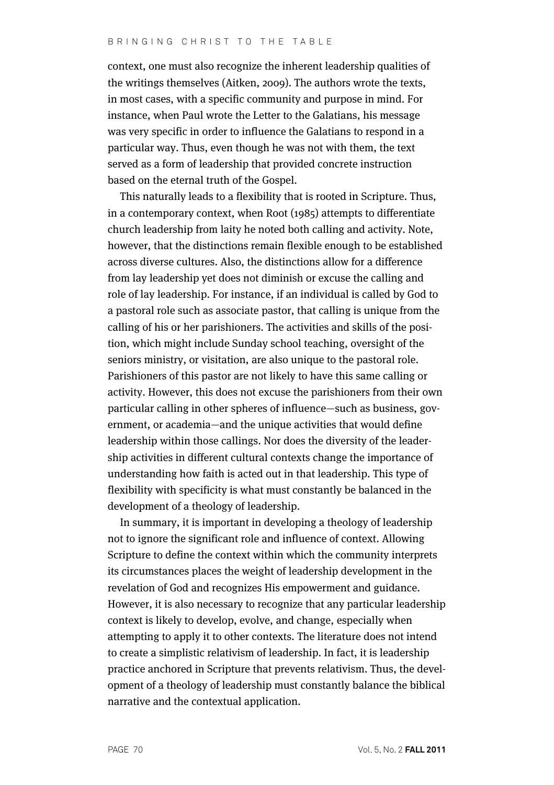context, one must also recognize the inherent leadership qualities of the writings themselves (Aitken, 2009). The authors wrote the texts, in most cases, with a specific community and purpose in mind. For instance, when Paul wrote the Letter to the Galatians, his message was very specific in order to influence the Galatians to respond in a particular way. Thus, even though he was not with them, the text served as a form of leadership that provided concrete instruction based on the eternal truth of the Gospel.

This naturally leads to a flexibility that is rooted in Scripture. Thus, in a contemporary context, when Root (1985) attempts to differentiate church leadership from laity he noted both calling and activity. Note, however, that the distinctions remain flexible enough to be established across diverse cultures. Also, the distinctions allow for a difference from lay leadership yet does not diminish or excuse the calling and role of lay leadership. For instance, if an individual is called by God to a pastoral role such as associate pastor, that calling is unique from the calling of his or her parishioners. The activities and skills of the position, which might include Sunday school teaching, oversight of the seniors ministry, or visitation, are also unique to the pastoral role. Parishioners of this pastor are not likely to have this same calling or activity. However, this does not excuse the parishioners from their own particular calling in other spheres of influence—such as business, government, or academia—and the unique activities that would define leadership within those callings. Nor does the diversity of the leadership activities in different cultural contexts change the importance of understanding how faith is acted out in that leadership. This type of flexibility with specificity is what must constantly be balanced in the development of a theology of leadership.

In summary, it is important in developing a theology of leadership not to ignore the significant role and influence of context. Allowing Scripture to define the context within which the community interprets its circumstances places the weight of leadership development in the revelation of God and recognizes His empowerment and guidance. However, it is also necessary to recognize that any particular leadership context is likely to develop, evolve, and change, especially when attempting to apply it to other contexts. The literature does not intend to create a simplistic relativism of leadership. In fact, it is leadership practice anchored in Scripture that prevents relativism. Thus, the development of a theology of leadership must constantly balance the biblical narrative and the contextual application.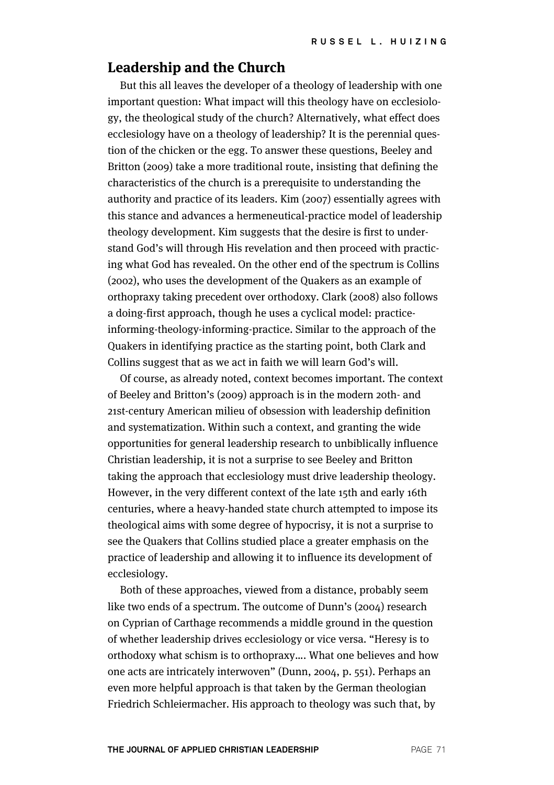## **Leadership and the Church**

But this all leaves the developer of a theology of leadership with one important question: What impact will this theology have on ecclesiology, the theological study of the church? Alternatively, what effect does ecclesiology have on a theology of leadership? It is the perennial question of the chicken or the egg. To answer these questions, Beeley and Britton (2009) take a more traditional route, insisting that defining the characteristics of the church is a prerequisite to understanding the authority and practice of its leaders. Kim (2007) essentially agrees with this stance and advances a hermeneutical-practice model of leadership theology development. Kim suggests that the desire is first to understand God's will through His revelation and then proceed with practicing what God has revealed. On the other end of the spectrum is Collins (2002), who uses the development of the Quakers as an example of orthopraxy taking precedent over orthodoxy. Clark (2008) also follows a doing-first approach, though he uses a cyclical model: practiceinforming-theology-informing-practice. Similar to the approach of the Quakers in identifying practice as the starting point, both Clark and Collins suggest that as we act in faith we will learn God's will.

Of course, as already noted, context becomes important. The context of Beeley and Britton's (2009) approach is in the modern 20th- and 21st-century American milieu of obsession with leadership definition and systematization. Within such a context, and granting the wide opportunities for general leadership research to unbiblically influence Christian leadership, it is not a surprise to see Beeley and Britton taking the approach that ecclesiology must drive leadership theology. However, in the very different context of the late 15th and early 16th centuries, where a heavy-handed state church attempted to impose its theological aims with some degree of hypocrisy, it is not a surprise to see the Quakers that Collins studied place a greater emphasis on the practice of leadership and allowing it to influence its development of ecclesiology.

Both of these approaches, viewed from a distance, probably seem like two ends of a spectrum. The outcome of Dunn's (2004) research on Cyprian of Carthage recommends a middle ground in the question of whether leadership drives ecclesiology or vice versa. "Heresy is to orthodoxy what schism is to orthopraxy…. What one believes and how one acts are intricately interwoven" (Dunn, 2004, p. 551). Perhaps an even more helpful approach is that taken by the German theologian Friedrich Schleiermacher. His approach to theology was such that, by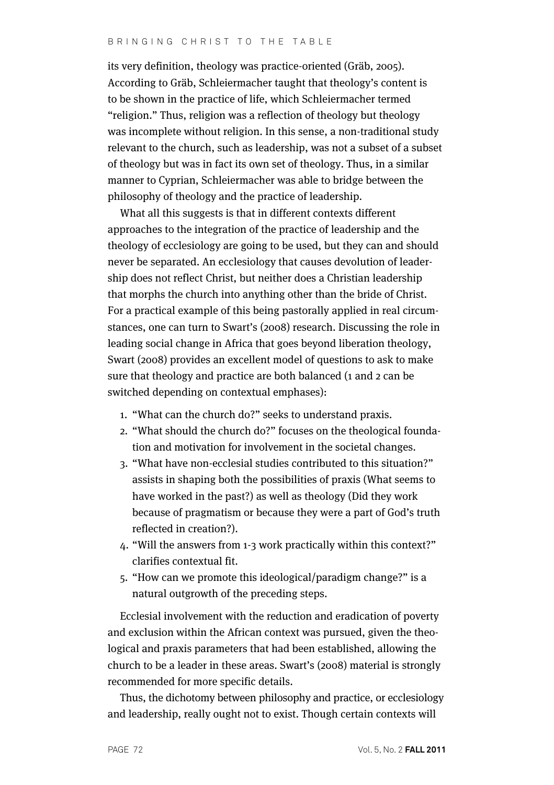#### BRINGING CHRIST TO THE TABLE

its very definition, theology was practice-oriented (Gräb, 2005). According to Gräb, Schleiermacher taught that theology's content is to be shown in the practice of life, which Schleiermacher termed "religion." Thus, religion was a reflection of theology but theology was incomplete without religion. In this sense, a non-traditional study relevant to the church, such as leadership, was not a subset of a subset of theology but was in fact its own set of theology. Thus, in a similar manner to Cyprian, Schleiermacher was able to bridge between the philosophy of theology and the practice of leadership.

What all this suggests is that in different contexts different approaches to the integration of the practice of leadership and the theology of ecclesiology are going to be used, but they can and should never be separated. An ecclesiology that causes devolution of leadership does not reflect Christ, but neither does a Christian leadership that morphs the church into anything other than the bride of Christ. For a practical example of this being pastorally applied in real circumstances, one can turn to Swart's (2008) research. Discussing the role in leading social change in Africa that goes beyond liberation theology, Swart (2008) provides an excellent model of questions to ask to make sure that theology and practice are both balanced (1 and 2 can be switched depending on contextual emphases):

- 1. "What can the church do?" seeks to understand praxis.
- 2. "What should the church do?" focuses on the theological foundation and motivation for involvement in the societal changes.
- 3. "What have non-ecclesial studies contributed to this situation?" assists in shaping both the possibilities of praxis (What seems to have worked in the past?) as well as theology (Did they work because of pragmatism or because they were a part of God's truth reflected in creation?).
- 4. "Will the answers from 1-3 work practically within this context?" clarifies contextual fit.
- 5. "How can we promote this ideological/paradigm change?" is a natural outgrowth of the preceding steps.

Ecclesial involvement with the reduction and eradication of poverty and exclusion within the African context was pursued, given the theological and praxis parameters that had been established, allowing the church to be a leader in these areas. Swart's (2008) material is strongly recommended for more specific details.

Thus, the dichotomy between philosophy and practice, or ecclesiology and leadership, really ought not to exist. Though certain contexts will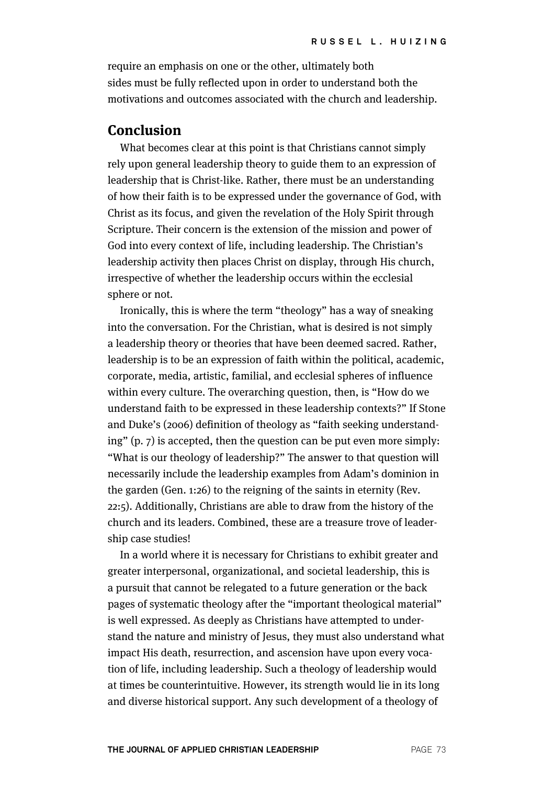require an emphasis on one or the other, ultimately both sides must be fully reflected upon in order to understand both the motivations and outcomes associated with the church and leadership.

## **Conclusion**

What becomes clear at this point is that Christians cannot simply rely upon general leadership theory to guide them to an expression of leadership that is Christ-like. Rather, there must be an understanding of how their faith is to be expressed under the governance of God, with Christ as its focus, and given the revelation of the Holy Spirit through Scripture. Their concern is the extension of the mission and power of God into every context of life, including leadership. The Christian's leadership activity then places Christ on display, through His church, irrespective of whether the leadership occurs within the ecclesial sphere or not.

Ironically, this is where the term "theology" has a way of sneaking into the conversation. For the Christian, what is desired is not simply a leadership theory or theories that have been deemed sacred. Rather, leadership is to be an expression of faith within the political, academic, corporate, media, artistic, familial, and ecclesial spheres of influence within every culture. The overarching question, then, is "How do we understand faith to be expressed in these leadership contexts?" If Stone and Duke's (2006) definition of theology as "faith seeking understanding" (p. 7) is accepted, then the question can be put even more simply: "What is our theology of leadership?" The answer to that question will necessarily include the leadership examples from Adam's dominion in the garden (Gen. 1:26) to the reigning of the saints in eternity (Rev. 22:5). Additionally, Christians are able to draw from the history of the church and its leaders. Combined, these are a treasure trove of leadership case studies!

In a world where it is necessary for Christians to exhibit greater and greater interpersonal, organizational, and societal leadership, this is a pursuit that cannot be relegated to a future generation or the back pages of systematic theology after the "important theological material" is well expressed. As deeply as Christians have attempted to understand the nature and ministry of Jesus, they must also understand what impact His death, resurrection, and ascension have upon every vocation of life, including leadership. Such a theology of leadership would at times be counterintuitive. However, its strength would lie in its long and diverse historical support. Any such development of a theology of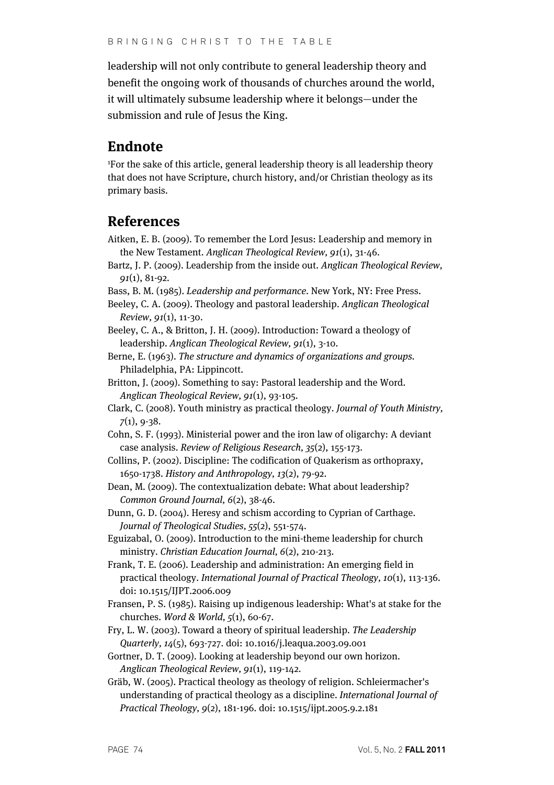leadership will not only contribute to general leadership theory and benefit the ongoing work of thousands of churches around the world, it will ultimately subsume leadership where it belongs—under the submission and rule of Jesus the King.

# **Endnote**

1 For the sake of this article, general leadership theory is all leadership theory that does not have Scripture, church history, and/or Christian theology as its primary basis.

# **References**

- Aitken, E. B. (2009). To remember the Lord Jesus: Leadership and memory in the New Testament. Anglican Theological Review, 91(1), 31-46.
- Bartz, J. P. (2009). Leadership from the inside out. Anglican Theological Review, 91(1), 81-92.
- Bass, B. M. (1985). Leadership and performance. New York, NY: Free Press.
- Beeley, C. A. (2009). Theology and pastoral leadership. Anglican Theological Review, 91(1), 11-30.
- Beeley, C. A., & Britton, J. H. (2009). Introduction: Toward a theology of leadership. Anglican Theological Review, 91(1), 3-10.
- Berne, E. (1963). The structure and dynamics of organizations and groups. Philadelphia, PA: Lippincott.
- Britton, J. (2009). Something to say: Pastoral leadership and the Word. Anglican Theological Review, 91(1), 93-105.
- Clark, C. (2008). Youth ministry as practical theology. Journal of Youth Ministry,  $7(1), 9-38.$
- Cohn, S. F. (1993). Ministerial power and the iron law of oligarchy: A deviant case analysis. Review of Religious Research, 35(2), 155-173.
- Collins, P. (2002). Discipline: The codification of Quakerism as orthopraxy, 1650-1738. History and Anthropology, 13(2), 79-92.
- Dean, M. (2009). The contextualization debate: What about leadership? Common Ground Journal, 6(2), 38-46.

Dunn, G. D. (2004). Heresy and schism according to Cyprian of Carthage. Journal of Theological Studies, 55(2), 551-574.

- Eguizabal, O. (2009). Introduction to the mini-theme leadership for church ministry. Christian Education Journal, 6(2), 210-213.
- Frank, T. E. (2006). Leadership and administration: An emerging field in practical theology. International Journal of Practical Theology, 10(1), 113-136. doi: 10.1515/IJPT.2006.009
- Fransen, P. S. (1985). Raising up indigenous leadership: What's at stake for the churches. Word & World, 5(1), 60-67.
- Fry, L. W. (2003). Toward a theory of spiritual leadership. The Leadership Quarterly, 14(5), 693-727. doi: 10.1016/j.leaqua.2003.09.001
- Gortner, D. T. (2009). Looking at leadership beyond our own horizon. Anglican Theological Review, 91(1), 119-142.
- Gräb, W. (2005). Practical theology as theology of religion. Schleiermacher's understanding of practical theology as a discipline. International Journal of Practical Theology, 9(2), 181-196. doi: 10.1515/ijpt.2005.9.2.181